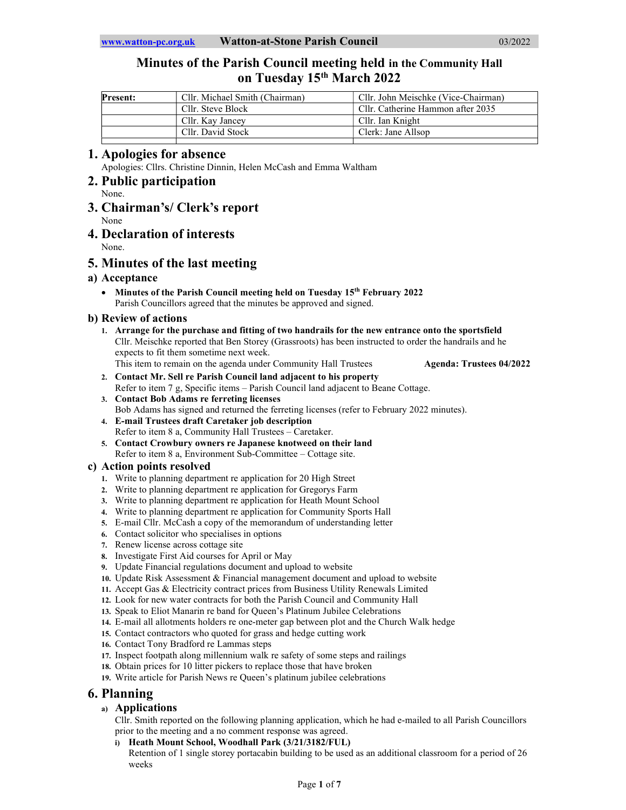# Minutes of the Parish Council meeting held in the Community Hall on Tuesday 15<sup>th</sup> March 2022

| <b>Present:</b> | Cllr. Michael Smith (Chairman) | Cllr. John Meischke (Vice-Chairman) |
|-----------------|--------------------------------|-------------------------------------|
|                 | Cllr. Steve Block              | Cllr. Catherine Hammon after 2035   |
|                 | Cllr. Kay Jancey               | Cllr. Ian Knight                    |
|                 | Cllr. David Stock              | Clerk: Jane Allson                  |
|                 |                                |                                     |

## 1. Apologies for absence

Apologies: Cllrs. Christine Dinnin, Helen McCash and Emma Waltham

- 2. Public participation
- None. 3. Chairman's/ Clerk's report
	- None
- 4. Declaration of interests
	- None.

# 5. Minutes of the last meeting

## a) Acceptance

• Minutes of the Parish Council meeting held on Tuesday 15<sup>th</sup> February 2022 Parish Councillors agreed that the minutes be approved and signed.

### b) Review of actions

- 1. Arrange for the purchase and fitting of two handrails for the new entrance onto the sportsfield Cllr. Meischke reported that Ben Storey (Grassroots) has been instructed to order the handrails and he expects to fit them sometime next week. This item to remain on the agenda under Community Hall Trustees **Agenda: Trustees 04/2022**
- 2. Contact Mr. Sell re Parish Council land adjacent to his property Refer to item 7 g, Specific items – Parish Council land adjacent to Beane Cottage.
- 3. Contact Bob Adams re ferreting licenses Bob Adams has signed and returned the ferreting licenses (refer to February 2022 minutes).
- 4. E-mail Trustees draft Caretaker job description Refer to item 8 a, Community Hall Trustees – Caretaker.
- 5. Contact Crowbury owners re Japanese knotweed on their land Refer to item 8 a, Environment Sub-Committee – Cottage site.

### c) Action points resolved

- 1. Write to planning department re application for 20 High Street
- 2. Write to planning department re application for Gregorys Farm
- 3. Write to planning department re application for Heath Mount School
- 4. Write to planning department re application for Community Sports Hall
- 5. E-mail Cllr. McCash a copy of the memorandum of understanding letter
- 6. Contact solicitor who specialises in options
- 7. Renew license across cottage site
- 8. Investigate First Aid courses for April or May
- 9. Update Financial regulations document and upload to website
- 10. Update Risk Assessment & Financial management document and upload to website
- 11. Accept Gas & Electricity contract prices from Business Utility Renewals Limited
- 12. Look for new water contracts for both the Parish Council and Community Hall
- 13. Speak to Eliot Manarin re band for Queen's Platinum Jubilee Celebrations
- 14. E-mail all allotments holders re one-meter gap between plot and the Church Walk hedge
- 15. Contact contractors who quoted for grass and hedge cutting work
- 16. Contact Tony Bradford re Lammas steps
- 17. Inspect footpath along millennium walk re safety of some steps and railings
- 18. Obtain prices for 10 litter pickers to replace those that have broken
- 19. Write article for Parish News re Queen's platinum jubilee celebrations

# 6. Planning

## a) Applications

Cllr. Smith reported on the following planning application, which he had e-mailed to all Parish Councillors prior to the meeting and a no comment response was agreed.

i) Heath Mount School, Woodhall Park (3/21/3182/FUL) Retention of 1 single storey portacabin building to be used as an additional classroom for a period of 26 weeks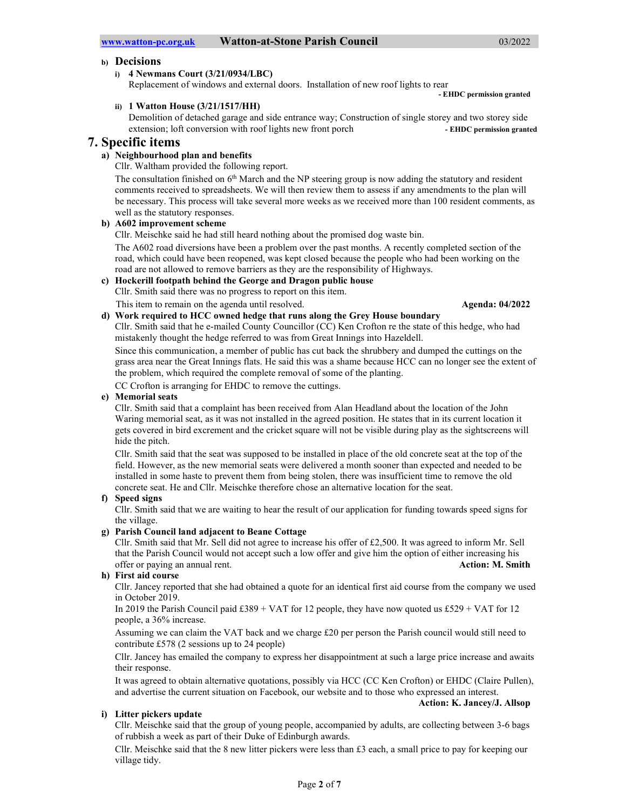### b) Decisions

i) 4 Newmans Court (3/21/0934/LBC)

Replacement of windows and external doors. Installation of new roof lights to rear - EHDC permission granted

ii) 1 Watton House (3/21/1517/HH)

Demolition of detached garage and side entrance way; Construction of single storey and two storey side extension; loft conversion with roof lights new front porch - EHDC permission granted

## 7. Specific items

## a) Neighbourhood plan and benefits

Cllr. Waltham provided the following report.

The consultation finished on 6<sup>th</sup> March and the NP steering group is now adding the statutory and resident comments received to spreadsheets. We will then review them to assess if any amendments to the plan will be necessary. This process will take several more weeks as we received more than 100 resident comments, as well as the statutory responses.

#### b) A602 improvement scheme

Cllr. Meischke said he had still heard nothing about the promised dog waste bin.

The A602 road diversions have been a problem over the past months. A recently completed section of the road, which could have been reopened, was kept closed because the people who had been working on the road are not allowed to remove barriers as they are the responsibility of Highways.

### c) Hockerill footpath behind the George and Dragon public house

Cllr. Smith said there was no progress to report on this item.

This item to remain on the agenda until resolved. Agenda: 04/2022

d) Work required to HCC owned hedge that runs along the Grey House boundary

Cllr. Smith said that he e-mailed County Councillor (CC) Ken Crofton re the state of this hedge, who had mistakenly thought the hedge referred to was from Great Innings into Hazeldell.

Since this communication, a member of public has cut back the shrubbery and dumped the cuttings on the grass area near the Great Innings flats. He said this was a shame because HCC can no longer see the extent of the problem, which required the complete removal of some of the planting.

CC Crofton is arranging for EHDC to remove the cuttings.

#### e) Memorial seats

Cllr. Smith said that a complaint has been received from Alan Headland about the location of the John Waring memorial seat, as it was not installed in the agreed position. He states that in its current location it gets covered in bird excrement and the cricket square will not be visible during play as the sightscreens will hide the pitch.

Cllr. Smith said that the seat was supposed to be installed in place of the old concrete seat at the top of the field. However, as the new memorial seats were delivered a month sooner than expected and needed to be installed in some haste to prevent them from being stolen, there was insufficient time to remove the old concrete seat. He and Cllr. Meischke therefore chose an alternative location for the seat.

#### f) Speed signs

Cllr. Smith said that we are waiting to hear the result of our application for funding towards speed signs for the village.

### g) Parish Council land adjacent to Beane Cottage

Cllr. Smith said that Mr. Sell did not agree to increase his offer of £2,500. It was agreed to inform Mr. Sell that the Parish Council would not accept such a low offer and give him the option of either increasing his offer or paying an annual rent. Action: M. Smith

#### h) First aid course

Cllr. Jancey reported that she had obtained a quote for an identical first aid course from the company we used in October 2019.

In 2019 the Parish Council paid  $\pounds 389 + \text{VAT}$  for 12 people, they have now quoted us  $\pounds 529 + \text{VAT}$  for 12 people, a 36% increase.

Assuming we can claim the VAT back and we charge £20 per person the Parish council would still need to contribute £578 (2 sessions up to 24 people)

Cllr. Jancey has emailed the company to express her disappointment at such a large price increase and awaits their response.

It was agreed to obtain alternative quotations, possibly via HCC (CC Ken Crofton) or EHDC (Claire Pullen), and advertise the current situation on Facebook, our website and to those who expressed an interest.

#### Action: K. Jancey/J. Allsop

#### i) Litter pickers update

Cllr. Meischke said that the group of young people, accompanied by adults, are collecting between 3-6 bags of rubbish a week as part of their Duke of Edinburgh awards.

Cllr. Meischke said that the 8 new litter pickers were less than £3 each, a small price to pay for keeping our village tidy.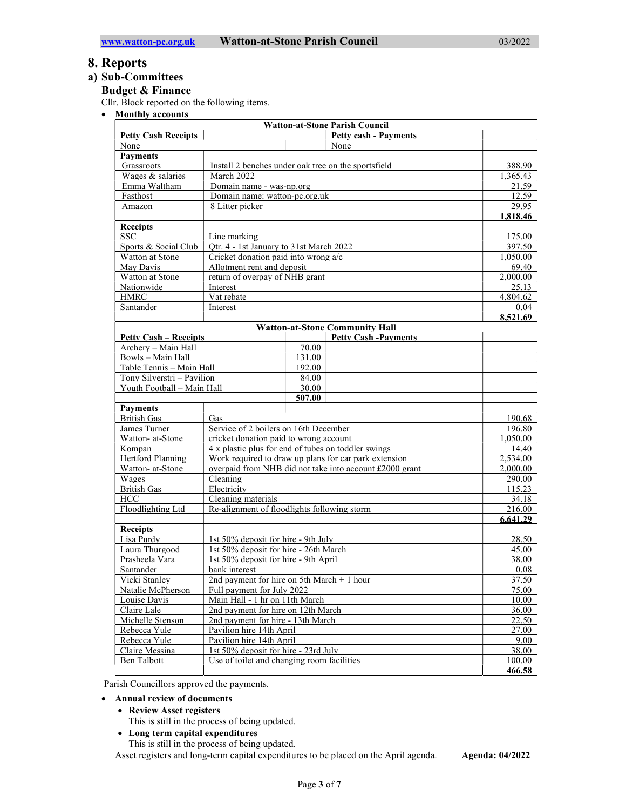## 8. Reports

## a) Sub-Committees

#### Budget & Finance

Cllr. Block reported on the following items.

• Monthly accounts

| <b>Watton-at-Stone Parish Council</b> |                                                                        |        |                                                       |          |
|---------------------------------------|------------------------------------------------------------------------|--------|-------------------------------------------------------|----------|
| <b>Petty Cash Receipts</b>            |                                                                        |        | <b>Petty cash - Payments</b>                          |          |
| None                                  |                                                                        |        | None                                                  |          |
| <b>Payments</b>                       |                                                                        |        |                                                       |          |
| Grassroots                            | Install 2 benches under oak tree on the sportsfield                    |        | 388.90                                                |          |
| Wages & salaries                      | March 2022                                                             |        |                                                       | 1,365.43 |
| Emma Waltham                          | Domain name - was-np.org                                               |        |                                                       | 21.59    |
| Fasthost                              | Domain name: watton-pc.org.uk                                          |        |                                                       | 12.59    |
| Amazon                                | 8 Litter picker                                                        |        |                                                       | 29.95    |
|                                       |                                                                        |        |                                                       | 1.818.46 |
| <b>Receipts</b>                       |                                                                        |        |                                                       |          |
| <b>SSC</b>                            | Line marking                                                           |        |                                                       | 175.00   |
| Sports & Social Club                  | Otr. 4 - 1st January to 31st March 2022                                |        | 397.50                                                |          |
| Watton at Stone                       | Cricket donation paid into wrong a/c                                   |        | 1,050.00                                              |          |
| May Davis                             | Allotment rent and deposit                                             |        | 69.40                                                 |          |
| Watton at Stone                       | return of overpay of NHB grant                                         |        | 2,000.00                                              |          |
| Nationwide                            | Interest                                                               |        |                                                       | 25.13    |
| <b>HMRC</b>                           | Vat rebate                                                             |        |                                                       | 4.804.62 |
| Santander                             | Interest                                                               |        |                                                       | 0.04     |
|                                       |                                                                        |        |                                                       | 8,521.69 |
|                                       |                                                                        |        | <b>Watton-at-Stone Community Hall</b>                 |          |
| <b>Petty Cash – Receipts</b>          |                                                                        |        | <b>Petty Cash -Payments</b>                           |          |
| Archery - Main Hall                   |                                                                        | 70.00  |                                                       |          |
| Bowls - Main Hall                     |                                                                        | 131.00 |                                                       |          |
| Table Tennis - Main Hall              |                                                                        | 192.00 |                                                       |          |
| Tony Silverstri - Pavilion            |                                                                        | 84.00  |                                                       |          |
| Youth Football - Main Hall            |                                                                        | 30.00  |                                                       |          |
|                                       |                                                                        | 507.00 |                                                       |          |
| <b>Payments</b>                       |                                                                        |        |                                                       |          |
| <b>British Gas</b>                    | Gas                                                                    |        |                                                       | 190.68   |
| James Turner                          | Service of 2 boilers on 16th December                                  |        |                                                       | 196.80   |
| Watton- at-Stone                      | cricket donation paid to wrong account                                 |        |                                                       | 1,050.00 |
| Kompan                                | 4 x plastic plus for end of tubes on toddler swings                    |        |                                                       | 14.40    |
| Hertford Planning                     |                                                                        |        | Work required to draw up plans for car park extension | 2,534.00 |
| Watton- at-Stone                      | overpaid from NHB did not take into account £2000 grant                |        | 2,000.00                                              |          |
| Wages                                 | Cleaning                                                               |        | 290.00                                                |          |
| <b>British Gas</b>                    | Electricity                                                            |        |                                                       | 115.23   |
| HCC                                   | Cleaning materials                                                     |        |                                                       | 34.18    |
| Floodlighting Ltd                     | Re-alignment of floodlights following storm                            |        | 216.00                                                |          |
|                                       |                                                                        |        |                                                       | 6.641.29 |
| Receipts<br>Lisa Purdy                |                                                                        |        |                                                       |          |
|                                       | 1st 50% deposit for hire - 9th July                                    |        |                                                       | 28.50    |
| Laura Thurgood                        | 1st 50% deposit for hire - 26th March                                  |        | 45.00                                                 |          |
| Prasheela Vara                        | 1st 50% deposit for hire - 9th April                                   |        | 38.00                                                 |          |
| Santander                             | bank interest                                                          |        | 0.08                                                  |          |
| Vicki Stanley                         | 2nd payment for hire on 5th March $+$ 1 hour                           |        | 37.50                                                 |          |
| Natalie McPherson                     | Full payment for July 2022                                             |        | 75.00                                                 |          |
| Louise Davis                          | Main Hall - 1 hr on 11th March                                         |        | 10.00<br>36.00                                        |          |
| Claire Lale                           | 2nd payment for hire on 12th March                                     |        |                                                       |          |
| Michelle Stenson<br>Rebecca Yule      | 22.50<br>2nd payment for hire - 13th March<br>Pavilion hire 14th April |        |                                                       |          |
| Rebecca Yule                          | 27.00<br>Pavilion hire 14th April<br>9.00                              |        |                                                       |          |
|                                       | 1st 50% deposit for hire - 23rd July                                   |        | 38.00                                                 |          |
| Claire Messina<br><b>Ben Talbott</b>  | Use of toilet and changing room facilities                             |        | 100.00                                                |          |
|                                       |                                                                        |        |                                                       | 466.58   |
|                                       |                                                                        |        |                                                       |          |

Parish Councillors approved the payments.

- Annual review of documents
	- Review Asset registers
		- This is still in the process of being updated.
	- Long term capital expenditures

This is still in the process of being updated.

Asset registers and long-term capital expenditures to be placed on the April agenda. Agenda: 04/2022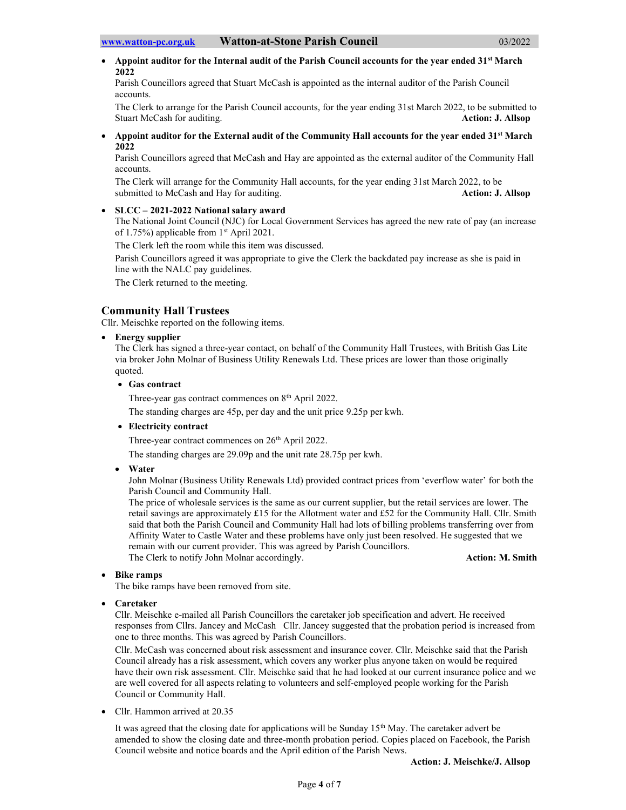Appoint auditor for the Internal audit of the Parish Council accounts for the year ended 31<sup>st</sup> March 2022

Parish Councillors agreed that Stuart McCash is appointed as the internal auditor of the Parish Council accounts.

The Clerk to arrange for the Parish Council accounts, for the year ending 31st March 2022, to be submitted to Stuart McCash for auditing. The stuart McCash for auditing.

Appoint auditor for the External audit of the Community Hall accounts for the year ended 31<sup>st</sup> March 2022

Parish Councillors agreed that McCash and Hay are appointed as the external auditor of the Community Hall accounts.

The Clerk will arrange for the Community Hall accounts, for the year ending 31st March 2022, to be submitted to McCash and Hay for auditing. Action: J. Allsop

#### SLCC – 2021-2022 National salary award

The National Joint Council (NJC) for Local Government Services has agreed the new rate of pay (an increase of 1.75%) applicable from 1st April 2021.

The Clerk left the room while this item was discussed.

Parish Councillors agreed it was appropriate to give the Clerk the backdated pay increase as she is paid in line with the NALC pay guidelines.

The Clerk returned to the meeting.

#### Community Hall Trustees

Cllr. Meischke reported on the following items.

• Energy supplier

The Clerk has signed a three-year contact, on behalf of the Community Hall Trustees, with British Gas Lite via broker John Molnar of Business Utility Renewals Ltd. These prices are lower than those originally quoted.

Gas contract

Three-year gas contract commences on 8<sup>th</sup> April 2022.

The standing charges are 45p, per day and the unit price 9.25p per kwh.

Electricity contract

Three-year contract commences on 26<sup>th</sup> April 2022.

The standing charges are 29.09p and the unit rate 28.75p per kwh.

Water

John Molnar (Business Utility Renewals Ltd) provided contract prices from 'everflow water' for both the Parish Council and Community Hall.

The price of wholesale services is the same as our current supplier, but the retail services are lower. The retail savings are approximately £15 for the Allotment water and £52 for the Community Hall. Cllr. Smith said that both the Parish Council and Community Hall had lots of billing problems transferring over from Affinity Water to Castle Water and these problems have only just been resolved. He suggested that we remain with our current provider. This was agreed by Parish Councillors. The Clerk to notify John Molnar accordingly. **Action: M. Smith** Action: M. Smith

#### Bike ramps

The bike ramps have been removed from site.

Caretaker

Cllr. Meischke e-mailed all Parish Councillors the caretaker job specification and advert. He received responses from Cllrs. Jancey and McCash Cllr. Jancey suggested that the probation period is increased from one to three months. This was agreed by Parish Councillors.

Cllr. McCash was concerned about risk assessment and insurance cover. Cllr. Meischke said that the Parish Council already has a risk assessment, which covers any worker plus anyone taken on would be required have their own risk assessment. Cllr. Meischke said that he had looked at our current insurance police and we are well covered for all aspects relating to volunteers and self-employed people working for the Parish Council or Community Hall.

• Cllr. Hammon arrived at 20.35

It was agreed that the closing date for applications will be Sunday 15th May. The caretaker advert be amended to show the closing date and three-month probation period. Copies placed on Facebook, the Parish Council website and notice boards and the April edition of the Parish News.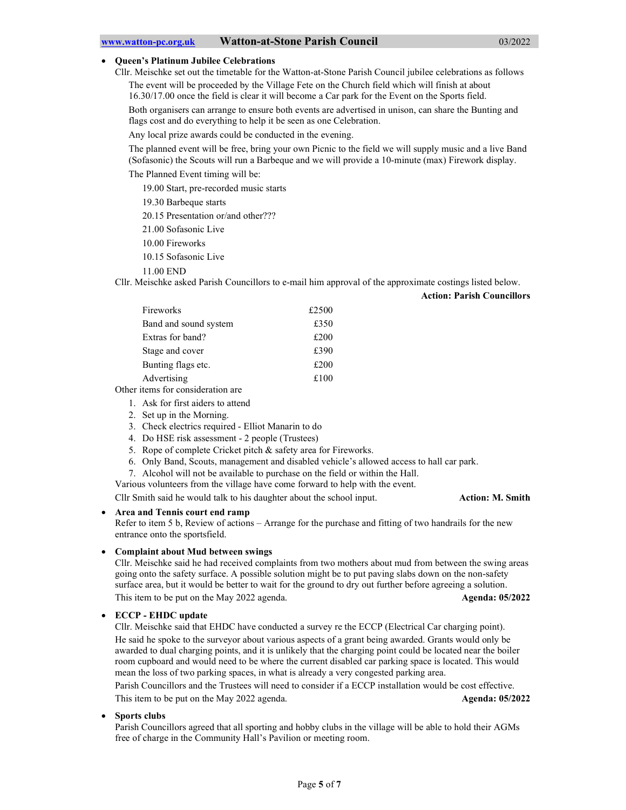#### Queen's Platinum Jubilee Celebrations

Cllr. Meischke set out the timetable for the Watton-at-Stone Parish Council jubilee celebrations as follows The event will be proceeded by the Village Fete on the Church field which will finish at about 16.30/17.00 once the field is clear it will become a Car park for the Event on the Sports field.

Both organisers can arrange to ensure both events are advertised in unison, can share the Bunting and flags cost and do everything to help it be seen as one Celebration.

Any local prize awards could be conducted in the evening.

The planned event will be free, bring your own Picnic to the field we will supply music and a live Band (Sofasonic) the Scouts will run a Barbeque and we will provide a 10-minute (max) Firework display.

The Planned Event timing will be:

19.00 Start, pre-recorded music starts

19.30 Barbeque starts

20.15 Presentation or/and other???

21.00 Sofasonic Live

10.00 Fireworks

10.15 Sofasonic Live

11.00 END

Cllr. Meischke asked Parish Councillors to e-mail him approval of the approximate costings listed below.

| <b>Action: Parish Councillors</b> |  |  |
|-----------------------------------|--|--|
|                                   |  |  |

| Fireworks             | £2500 |
|-----------------------|-------|
| Band and sound system | £350  |
| Extras for band?      | £200  |
| Stage and cover       | £390  |
| Bunting flags etc.    | £200  |
| Advertising           | £100  |
|                       |       |

Other items for consideration are

1. Ask for first aiders to attend

2. Set up in the Morning.

3. Check electrics required - Elliot Manarin to do

4. Do HSE risk assessment - 2 people (Trustees)

- 5. Rope of complete Cricket pitch & safety area for Fireworks.
- 6. Only Band, Scouts, management and disabled vehicle's allowed access to hall car park.
- 7. Alcohol will not be available to purchase on the field or within the Hall.
- Various volunteers from the village have come forward to help with the event.

Cllr Smith said he would talk to his daughter about the school input. Action: M. Smith

#### Area and Tennis court end ramp

Refer to item 5 b, Review of actions – Arrange for the purchase and fitting of two handrails for the new entrance onto the sportsfield.

#### Complaint about Mud between swings

Cllr. Meischke said he had received complaints from two mothers about mud from between the swing areas going onto the safety surface. A possible solution might be to put paving slabs down on the non-safety surface area, but it would be better to wait for the ground to dry out further before agreeing a solution. This item to be put on the May 2022 agenda. Agenda: 05/2022 Agenda: 05/2022

#### ECCP - EHDC update

Cllr. Meischke said that EHDC have conducted a survey re the ECCP (Electrical Car charging point). He said he spoke to the surveyor about various aspects of a grant being awarded. Grants would only be awarded to dual charging points, and it is unlikely that the charging point could be located near the boiler room cupboard and would need to be where the current disabled car parking space is located. This would mean the loss of two parking spaces, in what is already a very congested parking area.

Parish Councillors and the Trustees will need to consider if a ECCP installation would be cost effective. This item to be put on the May 2022 agenda. Agents and the May 2022 agenda: 05/2022

#### Sports clubs

Parish Councillors agreed that all sporting and hobby clubs in the village will be able to hold their AGMs free of charge in the Community Hall's Pavilion or meeting room.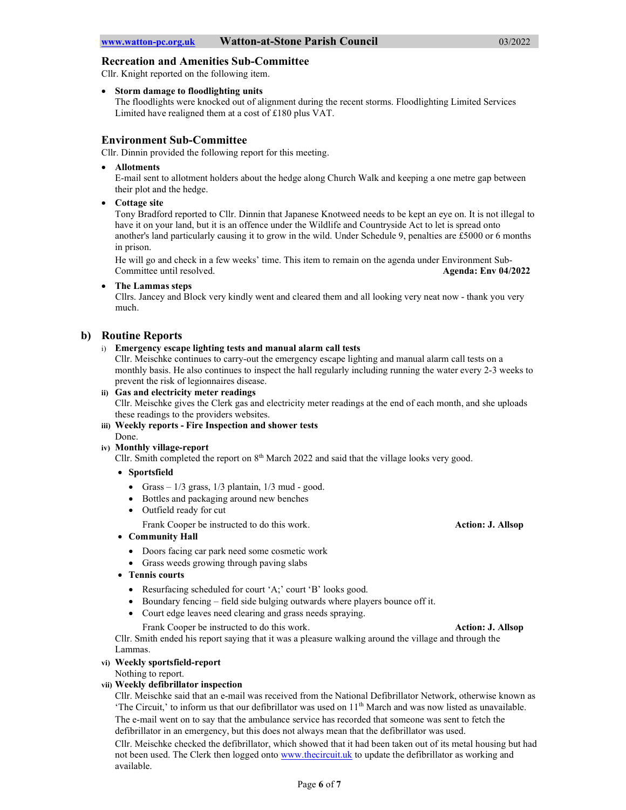#### Recreation and Amenities Sub-Committee

Cllr. Knight reported on the following item.

Storm damage to floodlighting units

The floodlights were knocked out of alignment during the recent storms. Floodlighting Limited Services Limited have realigned them at a cost of £180 plus VAT.

### Environment Sub-Committee

Cllr. Dinnin provided the following report for this meeting.

Allotments

E-mail sent to allotment holders about the hedge along Church Walk and keeping a one metre gap between their plot and the hedge.

• Cottage site

Tony Bradford reported to Cllr. Dinnin that Japanese Knotweed needs to be kept an eye on. It is not illegal to have it on your land, but it is an offence under the Wildlife and Countryside Act to let is spread onto another's land particularly causing it to grow in the wild. Under Schedule 9, penalties are £5000 or 6 months in prison.

He will go and check in a few weeks' time. This item to remain on the agenda under Environment Sub-Committee until resolved. Agenda: Env 04/2022

The Lammas steps

Cllrs. Jancey and Block very kindly went and cleared them and all looking very neat now - thank you very much.

### b) Routine Reports

i) Emergency escape lighting tests and manual alarm call tests

Cllr. Meischke continues to carry-out the emergency escape lighting and manual alarm call tests on a monthly basis. He also continues to inspect the hall regularly including running the water every 2-3 weeks to prevent the risk of legionnaires disease.

- ii) Gas and electricity meter readings Cllr. Meischke gives the Clerk gas and electricity meter readings at the end of each month, and she uploads these readings to the providers websites.
- iii) Weekly reports Fire Inspection and shower tests Done.

#### iv) Monthly village-report

Cllr. Smith completed the report on  $8<sup>th</sup>$  March 2022 and said that the village looks very good.

- Sportsfield
	- Grass  $-1/3$  grass,  $1/3$  plantain,  $1/3$  mud good.
	- Bottles and packaging around new benches
	- Outfield ready for cut

Frank Cooper be instructed to do this work. Action: J. Allsop

- Community Hall
	- Doors facing car park need some cosmetic work
	- Grass weeds growing through paving slabs
- Tennis courts
	- Resurfacing scheduled for court 'A;' court 'B' looks good.
	- Boundary fencing field side bulging outwards where players bounce off it.
	- Court edge leaves need clearing and grass needs spraying.

Frank Cooper be instructed to do this work. Action: J. Allsop

Cllr. Smith ended his report saying that it was a pleasure walking around the village and through the Lammas.

#### vi) Weekly sportsfield-report

Nothing to report.

#### vii) Weekly defibrillator inspection

Cllr. Meischke said that an e-mail was received from the National Defibrillator Network, otherwise known as 'The Circuit,' to inform us that our defibrillator was used on  $11<sup>th</sup>$  March and was now listed as unavailable. The e-mail went on to say that the ambulance service has recorded that someone was sent to fetch the defibrillator in an emergency, but this does not always mean that the defibrillator was used.

Cllr. Meischke checked the defibrillator, which showed that it had been taken out of its metal housing but had not been used. The Clerk then logged onto www.thecircuit.uk to update the defibrillator as working and available.